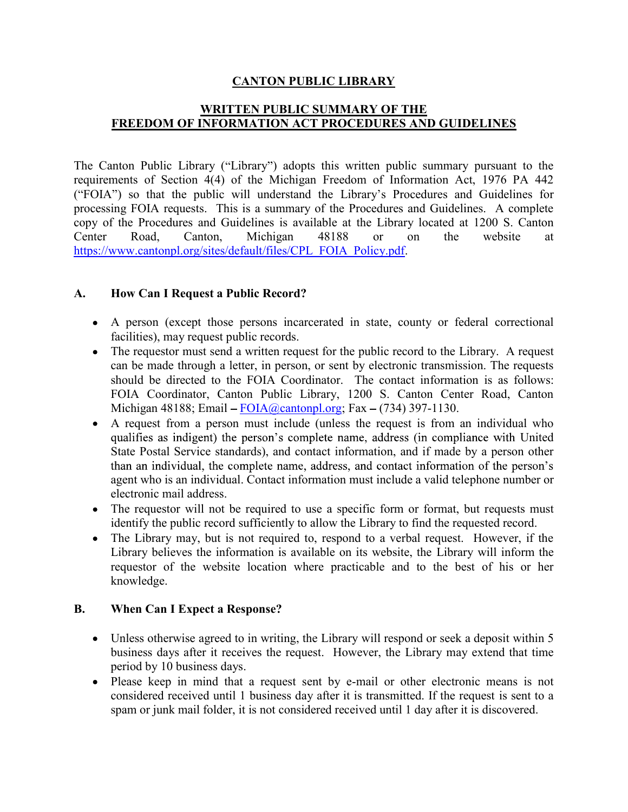## CANTON PUBLIC LIBRARY

## WRITTEN PUBLIC SUMMARY OF THE FREEDOM OF INFORMATION ACT PROCEDURES AND GUIDELINES

The Canton Public Library ("Library") adopts this written public summary pursuant to the requirements of Section 4(4) of the Michigan Freedom of Information Act, 1976 PA 442 ("FOIA") so that the public will understand the Library's Procedures and Guidelines for processing FOIA requests. This is a summary of the Procedures and Guidelines. A complete copy of the Procedures and Guidelines is available at the Library located at 1200 S. Canton Center Road, Canton, Michigan 48188 or on the website at https://www.cantonpl.org/sites/default/files/CPL\_FOIA\_Policy.pdf.

#### A. How Can I Request a Public Record?

- A person (except those persons incarcerated in state, county or federal correctional facilities), may request public records.
- The requestor must send a written request for the public record to the Library. A request can be made through a letter, in person, or sent by electronic transmission. The requests should be directed to the FOIA Coordinator. The contact information is as follows: FOIA Coordinator, Canton Public Library, 1200 S. Canton Center Road, Canton Michigan 48188; Email  $-FOLA(\omega$ cantonpl.org; Fax  $-(734)$  397-1130.
- A request from a person must include (unless the request is from an individual who qualifies as indigent) the person's complete name, address (in compliance with United State Postal Service standards), and contact information, and if made by a person other than an individual, the complete name, address, and contact information of the person's agent who is an individual. Contact information must include a valid telephone number or electronic mail address.
- The requestor will not be required to use a specific form or format, but requests must identify the public record sufficiently to allow the Library to find the requested record.
- The Library may, but is not required to, respond to a verbal request. However, if the Library believes the information is available on its website, the Library will inform the requestor of the website location where practicable and to the best of his or her knowledge.

#### B. When Can I Expect a Response?

- Unless otherwise agreed to in writing, the Library will respond or seek a deposit within 5 business days after it receives the request. However, the Library may extend that time period by 10 business days.
- Please keep in mind that a request sent by e-mail or other electronic means is not considered received until 1 business day after it is transmitted. If the request is sent to a spam or junk mail folder, it is not considered received until 1 day after it is discovered.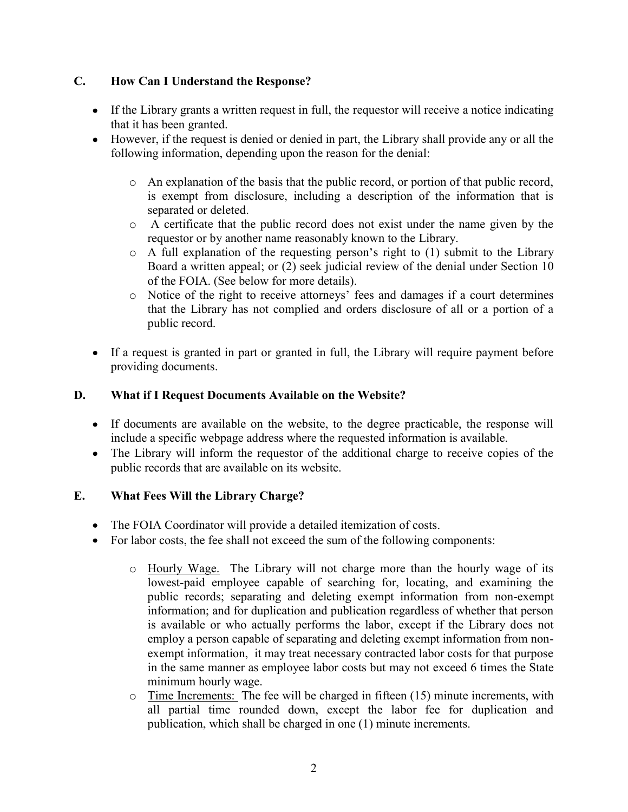# C. How Can I Understand the Response?

- If the Library grants a written request in full, the requestor will receive a notice indicating that it has been granted.
- However, if the request is denied or denied in part, the Library shall provide any or all the following information, depending upon the reason for the denial:
	- $\circ$  An explanation of the basis that the public record, or portion of that public record, is exempt from disclosure, including a description of the information that is separated or deleted.
	- o A certificate that the public record does not exist under the name given by the requestor or by another name reasonably known to the Library.
	- $\circ$  A full explanation of the requesting person's right to (1) submit to the Library Board a written appeal; or (2) seek judicial review of the denial under Section 10 of the FOIA. (See below for more details).
	- o Notice of the right to receive attorneys fees and damages if a court determines that the Library has not complied and orders disclosure of all or a portion of a public record.
- If a request is granted in part or granted in full, the Library will require payment before providing documents.

# D. What if I Request Documents Available on the Website?

- If documents are available on the website, to the degree practicable, the response will include a specific webpage address where the requested information is available.
- The Library will inform the requestor of the additional charge to receive copies of the public records that are available on its website.

# E. What Fees Will the Library Charge?

- The FOIA Coordinator will provide a detailed itemization of costs.
- For labor costs, the fee shall not exceed the sum of the following components:
	- o Hourly Wage. The Library will not charge more than the hourly wage of its lowest-paid employee capable of searching for, locating, and examining the public records; separating and deleting exempt information from non-exempt information; and for duplication and publication regardless of whether that person is available or who actually performs the labor, except if the Library does not employ a person capable of separating and deleting exempt information from nonexempt information, it may treat necessary contracted labor costs for that purpose in the same manner as employee labor costs but may not exceed 6 times the State minimum hourly wage.
	- $\circ$  Time Increments: The fee will be charged in fifteen (15) minute increments, with all partial time rounded down, except the labor fee for duplication and publication, which shall be charged in one (1) minute increments.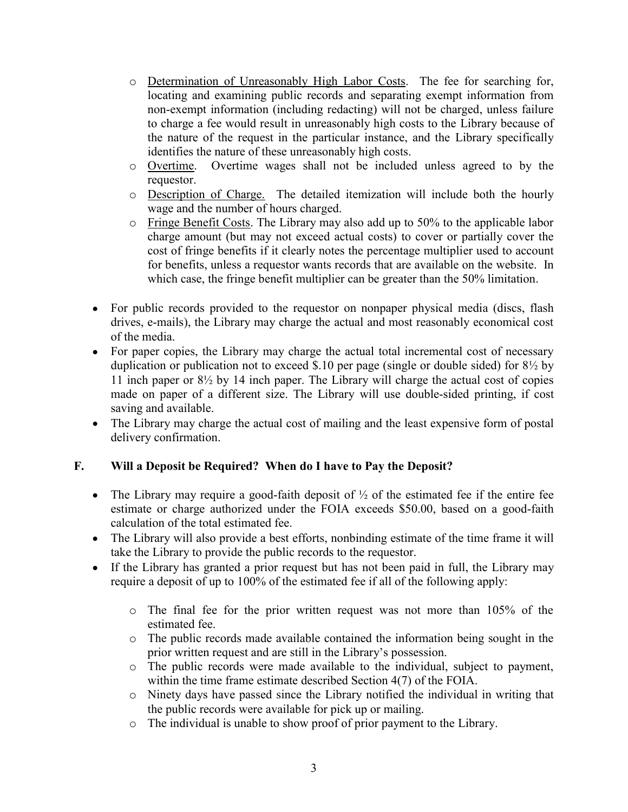- o Determination of Unreasonably High Labor Costs. The fee for searching for, locating and examining public records and separating exempt information from non-exempt information (including redacting) will not be charged, unless failure to charge a fee would result in unreasonably high costs to the Library because of the nature of the request in the particular instance, and the Library specifically identifies the nature of these unreasonably high costs.
- o Overtime. Overtime wages shall not be included unless agreed to by the requestor.
- o Description of Charge. The detailed itemization will include both the hourly wage and the number of hours charged.
- o Fringe Benefit Costs. The Library may also add up to 50% to the applicable labor charge amount (but may not exceed actual costs) to cover or partially cover the cost of fringe benefits if it clearly notes the percentage multiplier used to account for benefits, unless a requestor wants records that are available on the website. In which case, the fringe benefit multiplier can be greater than the 50% limitation.
- For public records provided to the requestor on nonpaper physical media (discs, flash drives, e-mails), the Library may charge the actual and most reasonably economical cost of the media.
- For paper copies, the Library may charge the actual total incremental cost of necessary duplication or publication not to exceed \$.10 per page (single or double sided) for  $8\frac{1}{2}$  by 11 inch paper or 8½ by 14 inch paper. The Library will charge the actual cost of copies made on paper of a different size. The Library will use double-sided printing, if cost saving and available.
- The Library may charge the actual cost of mailing and the least expensive form of postal delivery confirmation.

# F. Will a Deposit be Required? When do I have to Pay the Deposit?

- The Library may require a good-faith deposit of  $\frac{1}{2}$  of the estimated fee if the entire fee estimate or charge authorized under the FOIA exceeds \$50.00, based on a good-faith calculation of the total estimated fee.
- The Library will also provide a best efforts, nonbinding estimate of the time frame it will take the Library to provide the public records to the requestor.
- If the Library has granted a prior request but has not been paid in full, the Library may require a deposit of up to 100% of the estimated fee if all of the following apply:
	- o The final fee for the prior written request was not more than 105% of the estimated fee.
	- o The public records made available contained the information being sought in the prior written request and are still in the Library's possession.
	- o The public records were made available to the individual, subject to payment, within the time frame estimate described Section 4(7) of the FOIA.
	- o Ninety days have passed since the Library notified the individual in writing that the public records were available for pick up or mailing.
	- o The individual is unable to show proof of prior payment to the Library.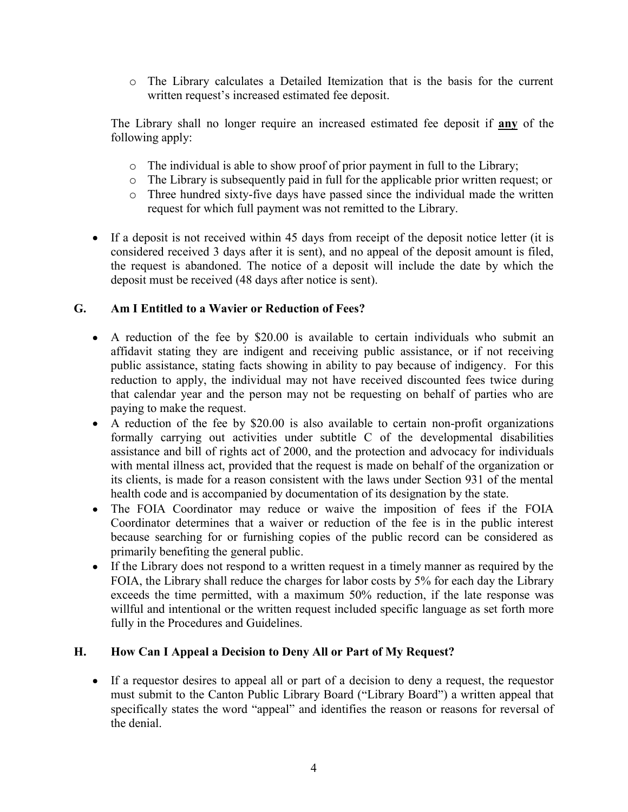o The Library calculates a Detailed Itemization that is the basis for the current written request's increased estimated fee deposit.

The Library shall no longer require an increased estimated fee deposit if **any** of the following apply:

- $\circ$  The individual is able to show proof of prior payment in full to the Library;
- o The Library is subsequently paid in full for the applicable prior written request; or
- o Three hundred sixty-five days have passed since the individual made the written request for which full payment was not remitted to the Library.
- If a deposit is not received within 45 days from receipt of the deposit notice letter (it is considered received 3 days after it is sent), and no appeal of the deposit amount is filed, the request is abandoned. The notice of a deposit will include the date by which the deposit must be received (48 days after notice is sent).

# G. Am I Entitled to a Wavier or Reduction of Fees?

- A reduction of the fee by \$20.00 is available to certain individuals who submit an affidavit stating they are indigent and receiving public assistance, or if not receiving public assistance, stating facts showing in ability to pay because of indigency. For this reduction to apply, the individual may not have received discounted fees twice during that calendar year and the person may not be requesting on behalf of parties who are paying to make the request.
- A reduction of the fee by \$20.00 is also available to certain non-profit organizations formally carrying out activities under subtitle C of the developmental disabilities assistance and bill of rights act of 2000, and the protection and advocacy for individuals with mental illness act, provided that the request is made on behalf of the organization or its clients, is made for a reason consistent with the laws under Section 931 of the mental health code and is accompanied by documentation of its designation by the state.
- The FOIA Coordinator may reduce or waive the imposition of fees if the FOIA  $\bullet$ Coordinator determines that a waiver or reduction of the fee is in the public interest because searching for or furnishing copies of the public record can be considered as primarily benefiting the general public.
- If the Library does not respond to a written request in a timely manner as required by the FOIA, the Library shall reduce the charges for labor costs by 5% for each day the Library exceeds the time permitted, with a maximum 50% reduction, if the late response was willful and intentional or the written request included specific language as set forth more fully in the Procedures and Guidelines.

## H. How Can I Appeal a Decision to Deny All or Part of My Request?

If a requestor desires to appeal all or part of a decision to deny a request, the requestor must submit to the Canton Public Library Board ("Library Board") a written appeal that specifically states the word "appeal" and identifies the reason or reasons for reversal of the denial.